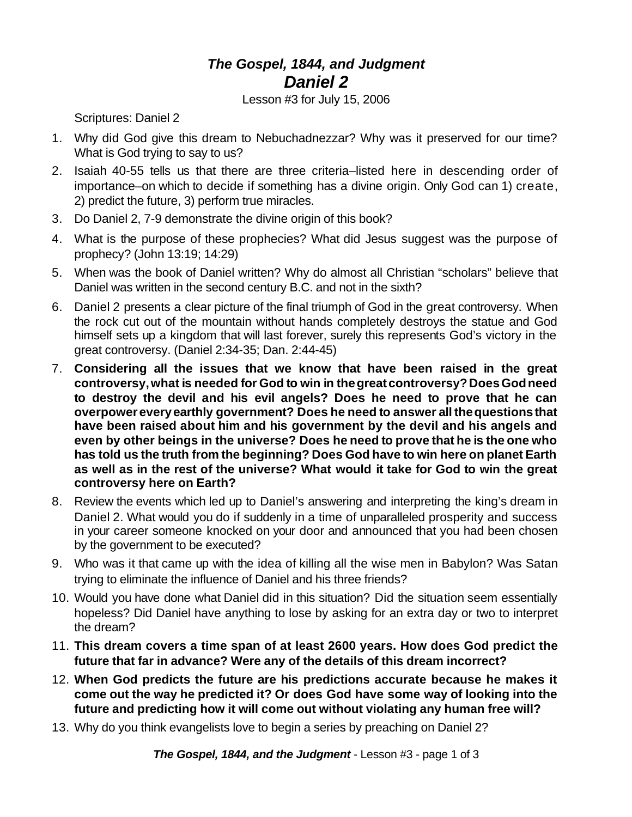## *The Gospel, 1844, and Judgment Daniel 2*

Lesson #3 for July 15, 2006

Scriptures: Daniel 2

- 1. Why did God give this dream to Nebuchadnezzar? Why was it preserved for our time? What is God trying to say to us?
- 2. Isaiah 40-55 tells us that there are three criteria–listed here in descending order of importance–on which to decide if something has a divine origin. Only God can 1) create, 2) predict the future, 3) perform true miracles.
- 3. Do Daniel 2, 7-9 demonstrate the divine origin of this book?
- 4. What is the purpose of these prophecies? What did Jesus suggest was the purpose of prophecy? (John 13:19; 14:29)
- 5. When was the book of Daniel written? Why do almost all Christian "scholars" believe that Daniel was written in the second century B.C. and not in the sixth?
- 6. Daniel 2 presents a clear picture of the final triumph of God in the great controversy. When the rock cut out of the mountain without hands completely destroys the statue and God himself sets up a kingdom that will last forever, surely this represents God's victory in the great controversy. (Daniel 2:34-35; Dan. 2:44-45)
- 7. **Considering all the issues that we know that have been raised in the great controversy,what is needed for God to win in thegreatcontroversy?DoesGodneed to destroy the devil and his evil angels? Does he need to prove that he can overpowereveryearthly government? Does he need to answer all thequestionsthat have been raised about him and his government by the devil and his angels and even by other beings in the universe? Does he need to prove that he is the one who has told us the truth from the beginning? Does God have to win here on planet Earth as well as in the rest of the universe? What would it take for God to win the great controversy here on Earth?**
- 8. Review the events which led up to Daniel's answering and interpreting the king's dream in Daniel 2. What would you do if suddenly in a time of unparalleled prosperity and success in your career someone knocked on your door and announced that you had been chosen by the government to be executed?
- 9. Who was it that came up with the idea of killing all the wise men in Babylon? Was Satan trying to eliminate the influence of Daniel and his three friends?
- 10. Would you have done what Daniel did in this situation? Did the situation seem essentially hopeless? Did Daniel have anything to lose by asking for an extra day or two to interpret the dream?
- 11. **This dream covers a time span of at least 2600 years. How does God predict the future that far in advance? Were any of the details of this dream incorrect?**
- 12. **When God predicts the future are his predictions accurate because he makes it come out the way he predicted it? Or does God have some way of looking into the future and predicting how it will come out without violating any human free will?**
- 13. Why do you think evangelists love to begin a series by preaching on Daniel 2?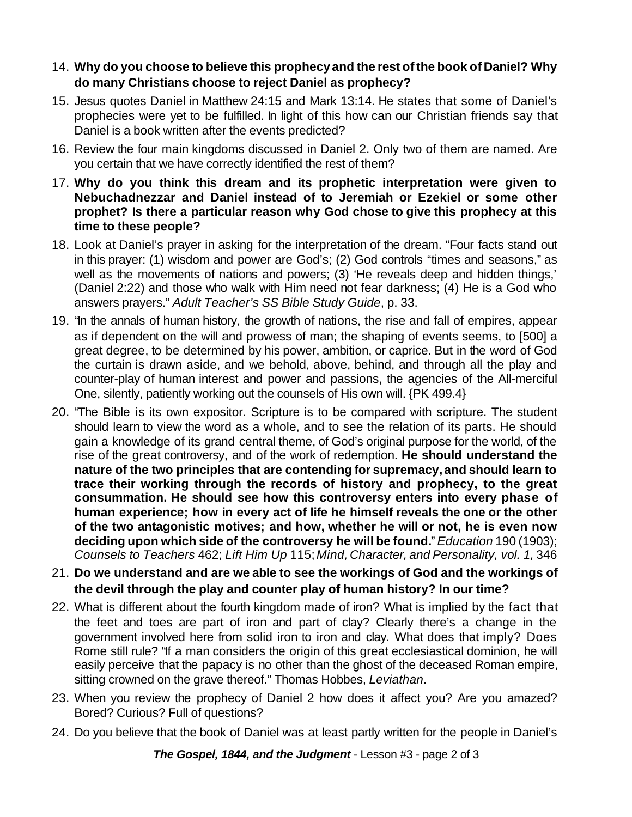- 14. **Why do you choose to believe this prophecyand the rest ofthe book of Daniel? Why do many Christians choose to reject Daniel as prophecy?**
- 15. Jesus quotes Daniel in Matthew 24:15 and Mark 13:14. He states that some of Daniel's prophecies were yet to be fulfilled. In light of this how can our Christian friends say that Daniel is a book written after the events predicted?
- 16. Review the four main kingdoms discussed in Daniel 2. Only two of them are named. Are you certain that we have correctly identified the rest of them?
- 17. **Why do you think this dream and its prophetic interpretation were given to Nebuchadnezzar and Daniel instead of to Jeremiah or Ezekiel or some other prophet? Is there a particular reason why God chose to give this prophecy at this time to these people?**
- 18. Look at Daniel's prayer in asking for the interpretation of the dream. "Four facts stand out in this prayer: (1) wisdom and power are God's; (2) God controls "times and seasons," as well as the movements of nations and powers; (3) 'He reveals deep and hidden things,' (Daniel 2:22) and those who walk with Him need not fear darkness; (4) He is a God who answers prayers." *Adult Teacher's SS Bible Study Guide*, p. 33.
- 19. "In the annals of human history, the growth of nations, the rise and fall of empires, appear as if dependent on the will and prowess of man; the shaping of events seems, to [500] a great degree, to be determined by his power, ambition, or caprice. But in the word of God the curtain is drawn aside, and we behold, above, behind, and through all the play and counter-play of human interest and power and passions, the agencies of the All-merciful One, silently, patiently working out the counsels of His own will. {PK 499.4}
- 20. "The Bible is its own expositor. Scripture is to be compared with scripture. The student should learn to view the word as a whole, and to see the relation of its parts. He should gain a knowledge of its grand central theme, of God's original purpose for the world, of the rise of the great controversy, and of the work of redemption. **He should understand the nature of the two principles that are contending for supremacy,and should learn to trace their working through the records of history and prophecy, to the great consummation. He should see how this controversy enters into every phase of human experience; how in every act of life he himself reveals the one or the other of the two antagonistic motives; and how, whether he will or not, he is even now deciding upon which side of the controversy he will be found.**" *Education* 190 (1903); *Counsels to Teachers* 462; *Lift Him Up* 115;*Mind, Character, and Personality, vol. 1,* 346
- 21. **Do we understand and are we able to see the workings of God and the workings of the devil through the play and counter play of human history? In our time?**
- 22. What is different about the fourth kingdom made of iron? What is implied by the fact that the feet and toes are part of iron and part of clay? Clearly there's a change in the government involved here from solid iron to iron and clay. What does that imply? Does Rome still rule? "If a man considers the origin of this great ecclesiastical dominion, he will easily perceive that the papacy is no other than the ghost of the deceased Roman empire, sitting crowned on the grave thereof." Thomas Hobbes, *Leviathan*.
- 23. When you review the prophecy of Daniel 2 how does it affect you? Are you amazed? Bored? Curious? Full of questions?
- 24. Do you believe that the book of Daniel was at least partly written for the people in Daniel's

*The Gospel, 1844, and the Judgment* - Lesson #3 - page 2 of 3